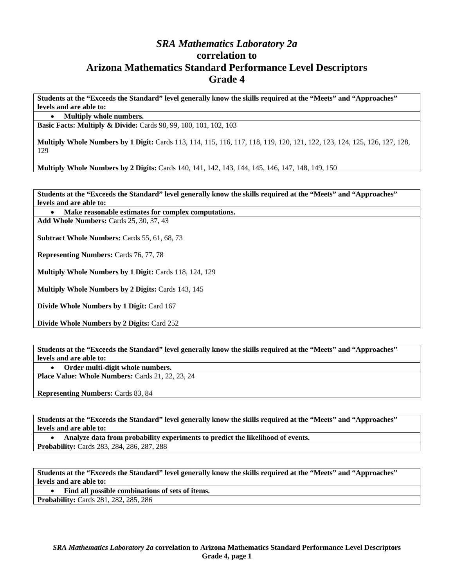## *SRA Mathematics Laboratory 2a*  **correlation to Arizona Mathematics Standard Performance Level Descriptors Grade 4**

**Students at the "Exceeds the Standard" level generally know the skills required at the "Meets" and "Approaches" levels and are able to:** 

• **Multiply whole numbers.** 

**Basic Facts: Multiply & Divide:** Cards 98, 99, 100, 101, 102, 103

**Multiply Whole Numbers by 1 Digit:** Cards 113, 114, 115, 116, 117, 118, 119, 120, 121, 122, 123, 124, 125, 126, 127, 128, 129

**Multiply Whole Numbers by 2 Digits:** Cards 140, 141, 142, 143, 144, 145, 146, 147, 148, 149, 150

**Students at the "Exceeds the Standard" level generally know the skills required at the "Meets" and "Approaches" levels and are able to:** 

• **Make reasonable estimates for complex computations.** 

**Add Whole Numbers:** Cards 25, 30, 37, 43

**Subtract Whole Numbers:** Cards 55, 61, 68, 73

**Representing Numbers:** Cards 76, 77, 78

**Multiply Whole Numbers by 1 Digit:** Cards 118, 124, 129

**Multiply Whole Numbers by 2 Digits:** Cards 143, 145

**Divide Whole Numbers by 1 Digit:** Card 167

**Divide Whole Numbers by 2 Digits:** Card 252

**Students at the "Exceeds the Standard" level generally know the skills required at the "Meets" and "Approaches" levels and are able to:** 

• **Order multi-digit whole numbers.** 

**Place Value: Whole Numbers:** Cards 21, 22, 23, 24

**Representing Numbers:** Cards 83, 84

**Students at the "Exceeds the Standard" level generally know the skills required at the "Meets" and "Approaches" levels and are able to:** 

• **Analyze data from probability experiments to predict the likelihood of events. Probability:** Cards 283, 284, 286, 287, 288

**Students at the "Exceeds the Standard" level generally know the skills required at the "Meets" and "Approaches" levels and are able to:** 

• **Find all possible combinations of sets of items.** 

**Probability:** Cards 281, 282, 285, 286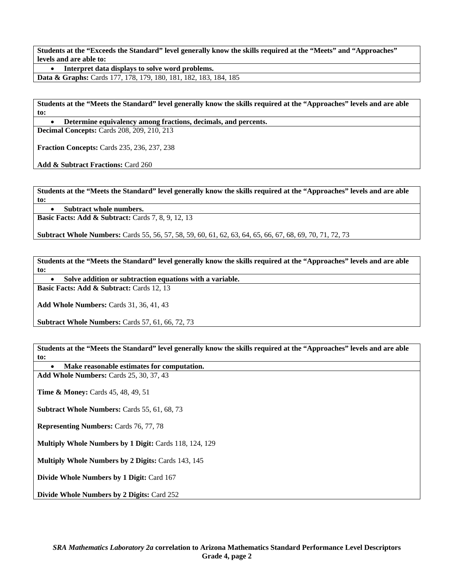• **Interpret data displays to solve word problems.** 

**Data & Graphs:** Cards 177, 178, 179, 180, 181, 182, 183, 184, 185

**Students at the "Meets the Standard" level generally know the skills required at the "Approaches" levels and are able to:** 

• **Determine equivalency among fractions, decimals, and percents.** 

**Decimal Concepts:** Cards 208, 209, 210, 213

**Fraction Concepts:** Cards 235, 236, 237, 238

**Add & Subtract Fractions:** Card 260

**Students at the "Meets the Standard" level generally know the skills required at the "Approaches" levels and are able to:** 

• **Subtract whole numbers.** 

**Basic Facts: Add & Subtract: Cards 7, 8, 9, 12, 13** 

**Subtract Whole Numbers:** Cards 55, 56, 57, 58, 59, 60, 61, 62, 63, 64, 65, 66, 67, 68, 69, 70, 71, 72, 73

**Students at the "Meets the Standard" level generally know the skills required at the "Approaches" levels and are able to:** 

• **Solve addition or subtraction equations with a variable.** 

**Basic Facts: Add & Subtract: Cards 12, 13** 

**Add Whole Numbers:** Cards 31, 36, 41, 43

**Subtract Whole Numbers:** Cards 57, 61, 66, 72, 73

**Students at the "Meets the Standard" level generally know the skills required at the "Approaches" levels and are able to:** 

• **Make reasonable estimates for computation.** 

**Add Whole Numbers:** Cards 25, 30, 37, 43

**Time & Money: Cards 45, 48, 49, 51** 

**Subtract Whole Numbers:** Cards 55, 61, 68, 73

**Representing Numbers:** Cards 76, 77, 78

**Multiply Whole Numbers by 1 Digit:** Cards 118, 124, 129

**Multiply Whole Numbers by 2 Digits:** Cards 143, 145

**Divide Whole Numbers by 1 Digit:** Card 167

**Divide Whole Numbers by 2 Digits:** Card 252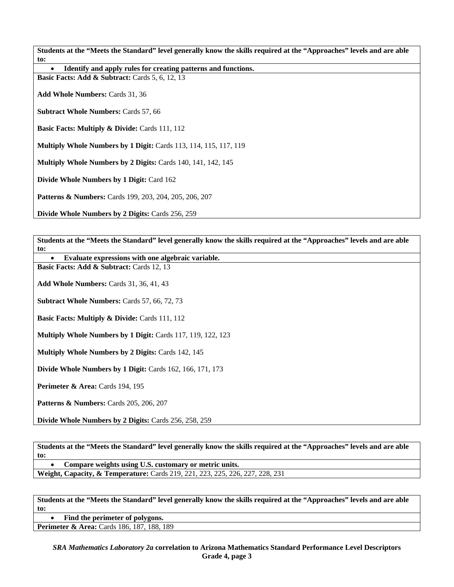• **Identify and apply rules for creating patterns and functions.** 

**Basic Facts: Add & Subtract: Cards 5, 6, 12, 13** 

**Add Whole Numbers:** Cards 31, 36

**Subtract Whole Numbers:** Cards 57, 66

**Basic Facts: Multiply & Divide: Cards 111, 112** 

**Multiply Whole Numbers by 1 Digit:** Cards 113, 114, 115, 117, 119

**Multiply Whole Numbers by 2 Digits:** Cards 140, 141, 142, 145

**Divide Whole Numbers by 1 Digit:** Card 162

**Patterns & Numbers:** Cards 199, 203, 204, 205, 206, 207

**Divide Whole Numbers by 2 Digits:** Cards 256, 259

**Students at the "Meets the Standard" level generally know the skills required at the "Approaches" levels and are able to:** 

• **Evaluate expressions with one algebraic variable.** 

**Basic Facts: Add & Subtract: Cards 12, 13** 

**Add Whole Numbers:** Cards 31, 36, 41, 43

**Subtract Whole Numbers:** Cards 57, 66, 72, 73

**Basic Facts: Multiply & Divide: Cards 111, 112** 

**Multiply Whole Numbers by 1 Digit:** Cards 117, 119, 122, 123

**Multiply Whole Numbers by 2 Digits:** Cards 142, 145

**Divide Whole Numbers by 1 Digit:** Cards 162, 166, 171, 173

**Perimeter & Area: Cards 194, 195** 

**Patterns & Numbers:** Cards 205, 206, 207

**Divide Whole Numbers by 2 Digits:** Cards 256, 258, 259

**Students at the "Meets the Standard" level generally know the skills required at the "Approaches" levels and are able to:** 

• **Compare weights using U.S. customary or metric units.** 

**Weight, Capacity, & Temperature:** Cards 219, 221, 223, 225, 226, 227, 228, 231

**Students at the "Meets the Standard" level generally know the skills required at the "Approaches" levels and are able to:** 

• **Find the perimeter of polygons.** 

**Perimeter & Area:** Cards 186, 187, 188, 189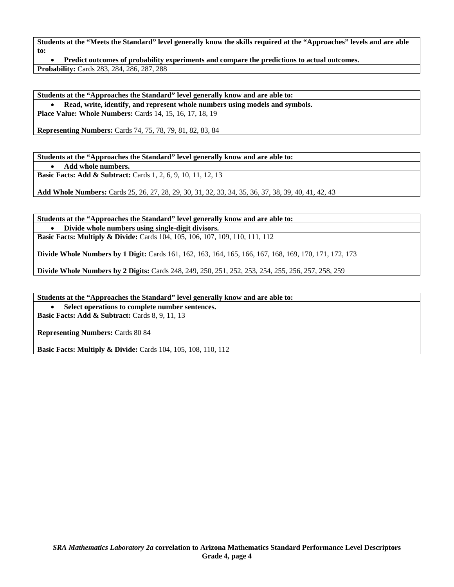• **Predict outcomes of probability experiments and compare the predictions to actual outcomes. Probability:** Cards 283, 284, 286, 287, 288

**Students at the "Approaches the Standard" level generally know and are able to:**  • **Read, write, identify, and represent whole numbers using models and symbols. Place Value: Whole Numbers:** Cards 14, 15, 16, 17, 18, 19

**Representing Numbers:** Cards 74, 75, 78, 79, 81, 82, 83, 84

**Students at the "Approaches the Standard" level generally know and are able to:** 

• **Add whole numbers.** 

**Basic Facts: Add & Subtract:** Cards 1, 2, 6, 9, 10, 11, 12, 13

**Add Whole Numbers:** Cards 25, 26, 27, 28, 29, 30, 31, 32, 33, 34, 35, 36, 37, 38, 39, 40, 41, 42, 43

**Students at the "Approaches the Standard" level generally know and are able to:**  • **Divide whole numbers using single-digit divisors. Basic Facts: Multiply & Divide:** Cards 104, 105, 106, 107, 109, 110, 111, 112

**Divide Whole Numbers by 1 Digit:** Cards 161, 162, 163, 164, 165, 166, 167, 168, 169, 170, 171, 172, 173

**Divide Whole Numbers by 2 Digits:** Cards 248, 249, 250, 251, 252, 253, 254, 255, 256, 257, 258, 259

**Students at the "Approaches the Standard" level generally know and are able to:** 

• **Select operations to complete number sentences.** 

**Basic Facts: Add & Subtract: Cards 8, 9, 11, 13** 

**Representing Numbers:** Cards 80 84

**Basic Facts: Multiply & Divide: Cards 104, 105, 108, 110, 112**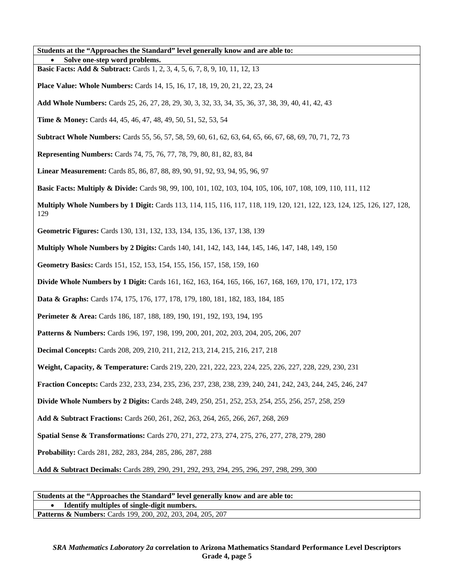| Students at the "Approaches the Standard" level generally know and are able to:                                                 |
|---------------------------------------------------------------------------------------------------------------------------------|
| Solve one-step word problems.                                                                                                   |
| <b>Basic Facts: Add &amp; Subtract:</b> Cards 1, 2, 3, 4, 5, 6, 7, 8, 9, 10, 11, 12, 13                                         |
| <b>Place Value: Whole Numbers:</b> Cards 14, 15, 16, 17, 18, 19, 20, 21, 22, 23, 24                                             |
| Add Whole Numbers: Cards 25, 26, 27, 28, 29, 30, 3, 32, 33, 34, 35, 36, 37, 38, 39, 40, 41, 42, 43                              |
| <b>Time &amp; Money:</b> Cards 44, 45, 46, 47, 48, 49, 50, 51, 52, 53, 54                                                       |
| <b>Subtract Whole Numbers:</b> Cards 55, 56, 57, 58, 59, 60, 61, 62, 63, 64, 65, 66, 67, 68, 69, 70, 71, 72, 73                 |
| <b>Representing Numbers:</b> Cards 74, 75, 76, 77, 78, 79, 80, 81, 82, 83, 84                                                   |
| Linear Measurement: Cards 85, 86, 87, 88, 89, 90, 91, 92, 93, 94, 95, 96, 97                                                    |
| <b>Basic Facts: Multiply &amp; Divide:</b> Cards 98, 99, 100, 101, 102, 103, 104, 105, 106, 107, 108, 109, 110, 111, 112        |
| Multiply Whole Numbers by 1 Digit: Cards 113, 114, 115, 116, 117, 118, 119, 120, 121, 122, 123, 124, 125, 126, 127, 128,<br>129 |
| Geometric Figures: Cards 130, 131, 132, 133, 134, 135, 136, 137, 138, 139                                                       |
| <b>Multiply Whole Numbers by 2 Digits:</b> Cards 140, 141, 142, 143, 144, 145, 146, 147, 148, 149, 150                          |
| Geometry Basics: Cards 151, 152, 153, 154, 155, 156, 157, 158, 159, 160                                                         |
| <b>Divide Whole Numbers by 1 Digit:</b> Cards 161, 162, 163, 164, 165, 166, 167, 168, 169, 170, 171, 172, 173                   |
| <b>Data &amp; Graphs:</b> Cards 174, 175, 176, 177, 178, 179, 180, 181, 182, 183, 184, 185                                      |
| Perimeter & Area: Cards 186, 187, 188, 189, 190, 191, 192, 193, 194, 195                                                        |
| <b>Patterns &amp; Numbers:</b> Cards 196, 197, 198, 199, 200, 201, 202, 203, 204, 205, 206, 207                                 |
| <b>Decimal Concepts: Cards 208, 209, 210, 211, 212, 213, 214, 215, 216, 217, 218</b>                                            |
| Weight, Capacity, & Temperature: Cards 219, 220, 221, 222, 223, 224, 225, 226, 227, 228, 229, 230, 231                          |
| Fraction Concepts: Cards 232, 233, 234, 235, 236, 237, 238, 238, 239, 240, 241, 242, 243, 244, 245, 246, 247                    |
| Divide Whole Numbers by 2 Digits: Cards 248, 249, 250, 251, 252, 253, 254, 255, 256, 257, 258, 259                              |
| Add & Subtract Fractions: Cards 260, 261, 262, 263, 264, 265, 266, 267, 268, 269                                                |
| <b>Spatial Sense &amp; Transformations:</b> Cards 270, 271, 272, 273, 274, 275, 276, 277, 278, 279, 280                         |
| Probability: Cards 281, 282, 283, 284, 285, 286, 287, 288                                                                       |
| Add & Subtract Decimals: Cards 289, 290, 291, 292, 293, 294, 295, 296, 297, 298, 299, 300                                       |
|                                                                                                                                 |

**Students at the "Approaches the Standard" level generally know and are able to:**  • **Identify multiples of single-digit numbers.**  Patterns & Numbers: Cards 199, 200, 202, 203, 204, 205, 207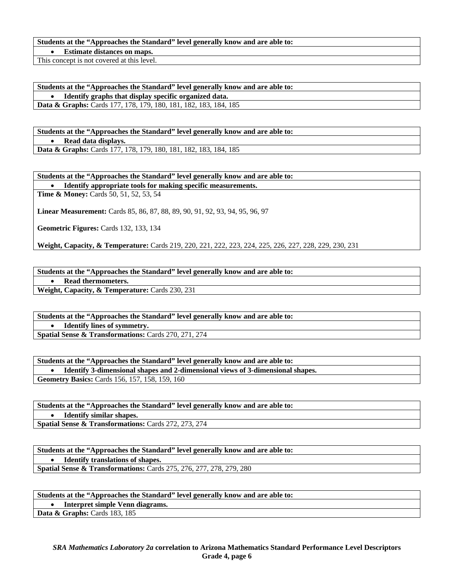#### **Students at the "Approaches the Standard" level generally know and are able to:**

• **Estimate distances on maps.** 

This concept is not covered at this level.

**Students at the "Approaches the Standard" level generally know and are able to:**  • **Identify graphs that display specific organized data. Data & Graphs:** Cards 177, 178, 179, 180, 181, 182, 183, 184, 185

**Students at the "Approaches the Standard" level generally know and are able to:**  • **Read data displays. Data & Graphs:** Cards 177, 178, 179, 180, 181, 182, 183, 184, 185

**Students at the "Approaches the Standard" level generally know and are able to:** 

• **Identify appropriate tools for making specific measurements.** 

**Time & Money:** Cards 50, 51, 52, 53, 54

**Linear Measurement:** Cards 85, 86, 87, 88, 89, 90, 91, 92, 93, 94, 95, 96, 97

**Geometric Figures:** Cards 132, 133, 134

**Weight, Capacity, & Temperature:** Cards 219, 220, 221, 222, 223, 224, 225, 226, 227, 228, 229, 230, 231

**Students at the "Approaches the Standard" level generally know and are able to:** 

• **Read thermometers.** 

**Weight, Capacity, & Temperature:** Cards 230, 231

**Students at the "Approaches the Standard" level generally know and are able to:** 

• **Identify lines of symmetry.** 

**Spatial Sense & Transformations:** Cards 270, 271, 274

**Students at the "Approaches the Standard" level generally know and are able to:**  • **Identify 3-dimensional shapes and 2-dimensional views of 3-dimensional shapes.** 

**Geometry Basics:** Cards 156, 157, 158, 159, 160

**Students at the "Approaches the Standard" level generally know and are able to:**  • **Identify similar shapes.** 

**Spatial Sense & Transformations:** Cards 272, 273, 274

**Students at the "Approaches the Standard" level generally know and are able to:**  • **Identify translations of shapes. Spatial Sense & Transformations:** Cards 275, 276, 277, 278, 279, 280

**Students at the "Approaches the Standard" level generally know and are able to:** 

• **Interpret simple Venn diagrams.** 

Data & Graphs: Cards 183, 185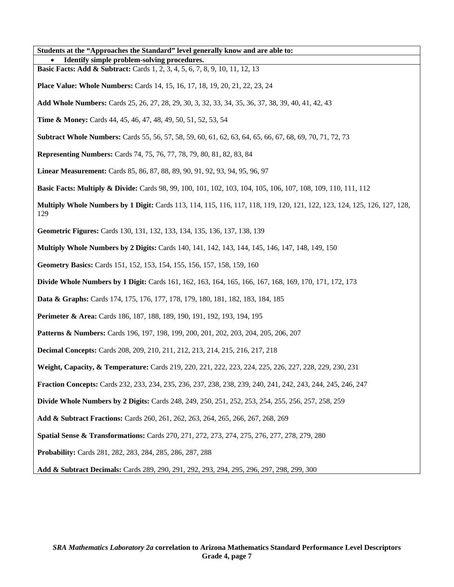| Students at the "Approaches the Standard" level generally know and are able to:                                                        |
|----------------------------------------------------------------------------------------------------------------------------------------|
| Identify simple problem-solving procedures.                                                                                            |
| <b>Basic Facts: Add &amp; Subtract:</b> Cards 1, 2, 3, 4, 5, 6, 7, 8, 9, 10, 11, 12, 13                                                |
| <b>Place Value: Whole Numbers:</b> Cards 14, 15, 16, 17, 18, 19, 20, 21, 22, 23, 24                                                    |
| Add Whole Numbers: Cards 25, 26, 27, 28, 29, 30, 3, 32, 33, 34, 35, 36, 37, 38, 39, 40, 41, 42, 43                                     |
| <b>Time &amp; Money:</b> Cards 44, 45, 46, 47, 48, 49, 50, 51, 52, 53, 54                                                              |
| <b>Subtract Whole Numbers:</b> Cards 55, 56, 57, 58, 59, 60, 61, 62, 63, 64, 65, 66, 67, 68, 69, 70, 71, 72, 73                        |
| <b>Representing Numbers:</b> Cards 74, 75, 76, 77, 78, 79, 80, 81, 82, 83, 84                                                          |
| Linear Measurement: Cards 85, 86, 87, 88, 89, 90, 91, 92, 93, 94, 95, 96, 97                                                           |
| <b>Basic Facts: Multiply &amp; Divide:</b> Cards 98, 99, 100, 101, 102, 103, 104, 105, 106, 107, 108, 109, 110, 111, 112               |
| <b>Multiply Whole Numbers by 1 Digit:</b> Cards 113, 114, 115, 116, 117, 118, 119, 120, 121, 122, 123, 124, 125, 126, 127, 128,<br>129 |
| Geometric Figures: Cards 130, 131, 132, 133, 134, 135, 136, 137, 138, 139                                                              |
| <b>Multiply Whole Numbers by 2 Digits:</b> Cards 140, 141, 142, 143, 144, 145, 146, 147, 148, 149, 150                                 |
| Geometry Basics: Cards 151, 152, 153, 154, 155, 156, 157, 158, 159, 160                                                                |
| <b>Divide Whole Numbers by 1 Digit:</b> Cards 161, 162, 163, 164, 165, 166, 167, 168, 169, 170, 171, 172, 173                          |
| <b>Data &amp; Graphs:</b> Cards 174, 175, 176, 177, 178, 179, 180, 181, 182, 183, 184, 185                                             |
| Perimeter & Area: Cards 186, 187, 188, 189, 190, 191, 192, 193, 194, 195                                                               |
| <b>Patterns &amp; Numbers:</b> Cards 196, 197, 198, 199, 200, 201, 202, 203, 204, 205, 206, 207                                        |
| <b>Decimal Concepts:</b> Cards 208, 209, 210, 211, 212, 213, 214, 215, 216, 217, 218                                                   |
| Weight, Capacity, & Temperature: Cards 219, 220, 221, 222, 223, 224, 225, 226, 227, 228, 229, 230, 231                                 |
| Fraction Concepts: Cards 232, 233, 234, 235, 236, 237, 238, 238, 239, 240, 241, 242, 243, 244, 245, 246, 247                           |
| <b>Divide Whole Numbers by 2 Digits:</b> Cards 248, 249, 250, 251, 252, 253, 254, 255, 256, 257, 258, 259                              |
| Add & Subtract Fractions: Cards 260, 261, 262, 263, 264, 265, 266, 267, 268, 269                                                       |
| Spatial Sense & Transformations: Cards 270, 271, 272, 273, 274, 275, 276, 277, 278, 279, 280                                           |
| Probability: Cards 281, 282, 283, 284, 285, 286, 287, 288                                                                              |
| Add & Subtract Decimals: Cards 289, 290, 291, 292, 293, 294, 295, 296, 297, 298, 299, 300                                              |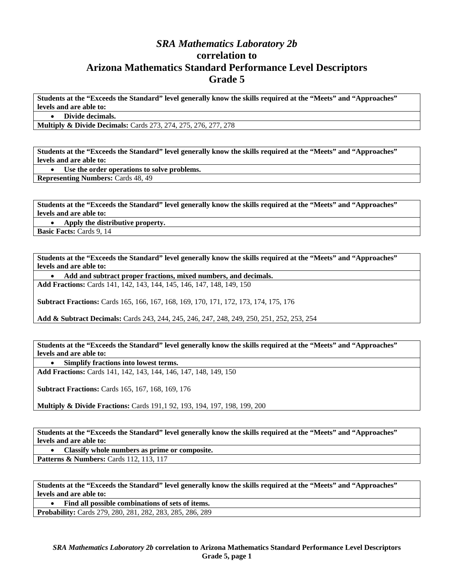### *SRA Mathematics Laboratory 2b*  **correlation to Arizona Mathematics Standard Performance Level Descriptors Grade 5**

**Students at the "Exceeds the Standard" level generally know the skills required at the "Meets" and "Approaches" levels and are able to:** 

• **Divide decimals.** 

**Multiply & Divide Decimals:** Cards 273, 274, 275, 276, 277, 278

**Students at the "Exceeds the Standard" level generally know the skills required at the "Meets" and "Approaches" levels and are able to:** 

• **Use the order operations to solve problems.** 

**Representing Numbers:** Cards 48, 49

**Students at the "Exceeds the Standard" level generally know the skills required at the "Meets" and "Approaches" levels and are able to:** 

• **Apply the distributive property.** 

**Basic Facts:** Cards 9, 14

**Students at the "Exceeds the Standard" level generally know the skills required at the "Meets" and "Approaches" levels and are able to:** 

• **Add and subtract proper fractions, mixed numbers, and decimals. Add Fractions:** Cards 141, 142, 143, 144, 145, 146, 147, 148, 149, 150

**Subtract Fractions:** Cards 165, 166, 167, 168, 169, 170, 171, 172, 173, 174, 175, 176

**Add & Subtract Decimals:** Cards 243, 244, 245, 246, 247, 248, 249, 250, 251, 252, 253, 254

**Students at the "Exceeds the Standard" level generally know the skills required at the "Meets" and "Approaches" levels and are able to:** 

• **Simplify fractions into lowest terms.** 

**Add Fractions:** Cards 141, 142, 143, 144, 146, 147, 148, 149, 150

**Subtract Fractions:** Cards 165, 167, 168, 169, 176

**Multiply & Divide Fractions:** Cards 191,1 92, 193, 194, 197, 198, 199, 200

**Students at the "Exceeds the Standard" level generally know the skills required at the "Meets" and "Approaches" levels and are able to:** 

• **Classify whole numbers as prime or composite.** 

**Patterns & Numbers: Cards 112, 113, 117** 

**Students at the "Exceeds the Standard" level generally know the skills required at the "Meets" and "Approaches" levels and are able to:** 

• **Find all possible combinations of sets of items.** 

**Probability:** Cards 279, 280, 281, 282, 283, 285, 286, 289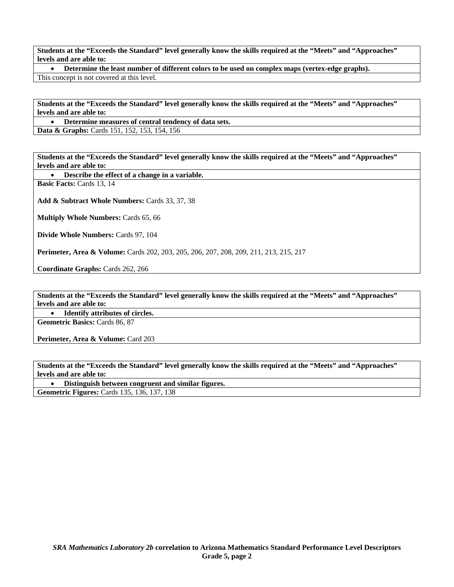• **Determine the least number of different colors to be used on complex maps (vertex-edge graphs).**  This concept is not covered at this level.

**Students at the "Exceeds the Standard" level generally know the skills required at the "Meets" and "Approaches" levels and are able to:** 

• **Determine measures of central tendency of data sets. Data & Graphs:** Cards 151, 152, 153, 154, 156

**Students at the "Exceeds the Standard" level generally know the skills required at the "Meets" and "Approaches" levels and are able to:** 

• **Describe the effect of a change in a variable.** 

**Basic Facts:** Cards 13, 14

**Add & Subtract Whole Numbers:** Cards 33, 37, 38

**Multiply Whole Numbers:** Cards 65, 66

**Divide Whole Numbers:** Cards 97, 104

**Perimeter, Area & Volume:** Cards 202, 203, 205, 206, 207, 208, 209, 211, 213, 215, 217

**Coordinate Graphs:** Cards 262, 266

**Students at the "Exceeds the Standard" level generally know the skills required at the "Meets" and "Approaches" levels and are able to:** 

• **Identify attributes of circles.** 

**Geometric Basics:** Cards 86, 87

Perimeter, Area & Volume: Card 203

**Students at the "Exceeds the Standard" level generally know the skills required at the "Meets" and "Approaches" levels and are able to:** 

• **Distinguish between congruent and similar figures.** 

**Geometric Figures:** Cards 135, 136, 137, 138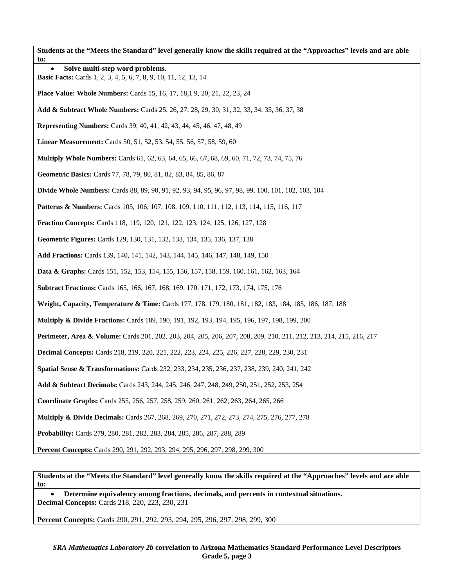**Students at the "Meets the Standard" level generally know the skills required at the "Approaches" levels and are able to:**  • **Solve multi-step word problems. Basic Facts:** Cards 1, 2, 3, 4, 5, 6, 7, 8, 9, 10, 11, 12, 13, 14 **Place Value: Whole Numbers:** Cards 15, 16, 17, 18,1 9, 20, 21, 22, 23, 24 **Add & Subtract Whole Numbers:** Cards 25, 26, 27, 28, 29, 30, 31, 32, 33, 34, 35, 36, 37, 38 **Representing Numbers:** Cards 39, 40, 41, 42, 43, 44, 45, 46, 47, 48, 49 **Linear Measurement:** Cards 50, 51, 52, 53, 54, 55, 56, 57, 58, 59, 60 **Multiply Whole Numbers:** Cards 61, 62, 63, 64, 65, 66, 67, 68, 69, 60, 71, 72, 73, 74, 75, 76 **Geometric Basics:** Cards 77, 78, 79, 80, 81, 82, 83, 84, 85, 86, 87 **Divide Whole Numbers:** Cards 88, 89, 90, 91, 92, 93, 94, 95, 96, 97, 98, 99, 100, 101, 102, 103, 104 **Patterns & Numbers:** Cards 105, 106, 107, 108, 109, 110, 111, 112, 113, 114, 115, 116, 117 **Fraction Concepts:** Cards 118, 119, 120, 121, 122, 123, 124, 125, 126, 127, 128 **Geometric Figures:** Cards 129, 130, 131, 132, 133, 134, 135, 136, 137, 138 **Add Fractions:** Cards 139, 140, 141, 142, 143, 144, 145, 146, 147, 148, 149, 150 **Data & Graphs:** Cards 151, 152, 153, 154, 155, 156, 157, 158, 159, 160, 161, 162, 163, 164 **Subtract Fractions:** Cards 165, 166, 167, 168, 169, 170, 171, 172, 173, 174, 175, 176 **Weight, Capacity, Temperature & Time:** Cards 177, 178, 179, 180, 181, 182, 183, 184, 185, 186, 187, 188 **Multiply & Divide Fractions:** Cards 189, 190, 191, 192, 193, 194, 195, 196, 197, 198, 199, 200 **Perimeter, Area & Volume:** Cards 201, 202, 203, 204, 205, 206, 207, 208, 209, 210, 211, 212, 213, 214, 215, 216, 217 **Decimal Concepts:** Cards 218, 219, 220, 221, 222, 223, 224, 225, 226, 227, 228, 229, 230, 231 **Spatial Sense & Transformations:** Cards 232, 233, 234, 235, 236, 237, 238, 239, 240, 241, 242 **Add & Subtract Decimals:** Cards 243, 244, 245, 246, 247, 248, 249, 250, 251, 252, 253, 254 **Coordinate Graphs:** Cards 255, 256, 257, 258, 259, 260, 261, 262, 263, 264, 265, 266 **Multiply & Divide Decimals:** Cards 267, 268, 269, 270, 271, 272, 273, 274, 275, 276, 277, 278 **Probability:** Cards 279, 280, 281, 282, 283, 284, 285, 286, 287, 288, 289 **Percent Concepts:** Cards 290, 291, 292, 293, 294, 295, 296, 297, 298, 299, 300

**Students at the "Meets the Standard" level generally know the skills required at the "Approaches" levels and are able to:** 

• **Determine equivalency among fractions, decimals, and percents in contextual situations. Decimal Concepts:** Cards 218, 220, 223, 230, 231

**Percent Concepts:** Cards 290, 291, 292, 293, 294, 295, 296, 297, 298, 299, 300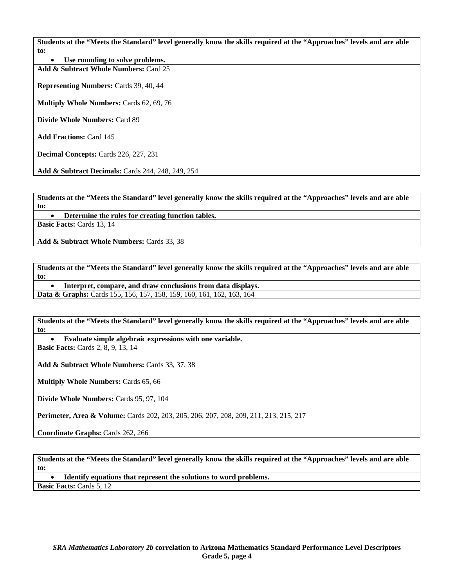Use rounding to solve problems. **Add & Subtract Whole Numbers:** Card 25

**Representing Numbers:** Cards 39, 40, 44

**Multiply Whole Numbers:** Cards 62, 69, 76

**Divide Whole Numbers:** Card 89

**Add Fractions:** Card 145

**Decimal Concepts:** Cards 226, 227, 231

**Add & Subtract Decimals:** Cards 244, 248, 249, 254

**Students at the "Meets the Standard" level generally know the skills required at the "Approaches" levels and are able to:** 

• **Determine the rules for creating function tables.** 

**Basic Facts:** Cards 13, 14

**Add & Subtract Whole Numbers:** Cards 33, 38

**Students at the "Meets the Standard" level generally know the skills required at the "Approaches" levels and are able to:** 

• **Interpret, compare, and draw conclusions from data displays.** 

**Data & Graphs:** Cards 155, 156, 157, 158, 159, 160, 161, 162, 163, 164

**Students at the "Meets the Standard" level generally know the skills required at the "Approaches" levels and are able to:** 

• **Evaluate simple algebraic expressions with one variable.** 

**Basic Facts: Cards 2, 8, 9, 13, 14** 

**Add & Subtract Whole Numbers:** Cards 33, 37, 38

**Multiply Whole Numbers:** Cards 65, 66

**Divide Whole Numbers:** Cards 95, 97, 104

**Perimeter, Area & Volume:** Cards 202, 203, 205, 206, 207, 208, 209, 211, 213, 215, 217

**Coordinate Graphs:** Cards 262, 266

**Students at the "Meets the Standard" level generally know the skills required at the "Approaches" levels and are able to:** 

• **Identify equations that represent the solutions to word problems. Basic Facts:** Cards 5, 12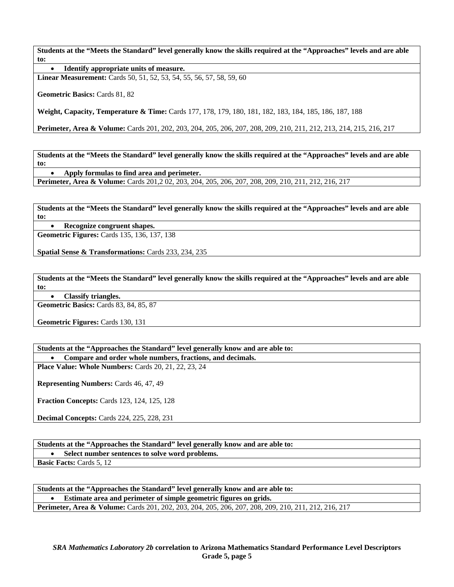• **Identify appropriate units of measure.** 

**Linear Measurement:** Cards 50, 51, 52, 53, 54, 55, 56, 57, 58, 59, 60

**Geometric Basics:** Cards 81, 82

**Weight, Capacity, Temperature & Time:** Cards 177, 178, 179, 180, 181, 182, 183, 184, 185, 186, 187, 188

**Perimeter, Area & Volume:** Cards 201, 202, 203, 204, 205, 206, 207, 208, 209, 210, 211, 212, 213, 214, 215, 216, 217

**Students at the "Meets the Standard" level generally know the skills required at the "Approaches" levels and are able to:** 

• **Apply formulas to find area and perimeter.** 

**Perimeter, Area & Volume:** Cards 201,2 02, 203, 204, 205, 206, 207, 208, 209, 210, 211, 212, 216, 217

**Students at the "Meets the Standard" level generally know the skills required at the "Approaches" levels and are able to:** 

• **Recognize congruent shapes.** 

**Geometric Figures:** Cards 135, 136, 137, 138

**Spatial Sense & Transformations:** Cards 233, 234, 235

**Students at the "Meets the Standard" level generally know the skills required at the "Approaches" levels and are able to:** 

• **Classify triangles.** 

**Geometric Basics:** Cards 83, 84, 85, 87

**Geometric Figures:** Cards 130, 131

**Students at the "Approaches the Standard" level generally know and are able to:**  • **Compare and order whole numbers, fractions, and decimals.** 

**Place Value: Whole Numbers:** Cards 20, 21, 22, 23, 24

**Representing Numbers:** Cards 46, 47, 49

**Fraction Concepts:** Cards 123, 124, 125, 128

**Decimal Concepts:** Cards 224, 225, 228, 231

**Students at the "Approaches the Standard" level generally know and are able to:**  • **Select number sentences to solve word problems. Basic Facts:** Cards 5, 12

**Students at the "Approaches the Standard" level generally know and are able to:**  • **Estimate area and perimeter of simple geometric figures on grids. Perimeter, Area & Volume:** Cards 201, 202, 203, 204, 205, 206, 207, 208, 209, 210, 211, 212, 216, 217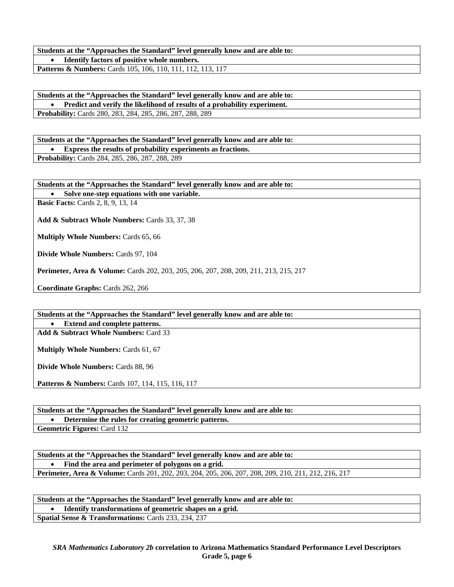**Students at the "Approaches the Standard" level generally know and are able to:**  • **Identify factors of positive whole numbers. Patterns & Numbers:** Cards 105, 106, 110, 111, 112, 113, 117

**Students at the "Approaches the Standard" level generally know and are able to:**  • **Predict and verify the likelihood of results of a probability experiment.** 

**Probability:** Cards 280, 283, 284, 285, 286, 287, 288, 289

**Students at the "Approaches the Standard" level generally know and are able to:**  • **Express the results of probability experiments as fractions.** 

**Probability:** Cards 284, 285, 286, 287, 288, 289

**Students at the "Approaches the Standard" level generally know and are able to:** 

• **Solve one-step equations with one variable.** 

**Basic Facts:** Cards 2, 8, 9, 13, 14

**Add & Subtract Whole Numbers:** Cards 33, 37, 38

**Multiply Whole Numbers:** Cards 65, 66

**Divide Whole Numbers:** Cards 97, 104

**Perimeter, Area & Volume:** Cards 202, 203, 205, 206, 207, 208, 209, 211, 213, 215, 217

**Coordinate Graphs:** Cards 262, 266

**Students at the "Approaches the Standard" level generally know and are able to:** 

• **Extend and complete patterns.** 

**Add & Subtract Whole Numbers:** Card 33

**Multiply Whole Numbers:** Cards 61, 67

**Divide Whole Numbers:** Cards 88, 96

Patterns & Numbers: Cards 107, 114, 115, 116, 117

**Students at the "Approaches the Standard" level generally know and are able to:**  • **Determine the rules for creating geometric patterns. Geometric Figures:** Card 132

**Students at the "Approaches the Standard" level generally know and are able to:**  • **Find the area and perimeter of polygons on a grid. Perimeter, Area & Volume:** Cards 201, 202, 203, 204, 205, 206, 207, 208, 209, 210, 211, 212, 216, 217

**Students at the "Approaches the Standard" level generally know and are able to:**  • **Identify transformations of geometric shapes on a grid. Spatial Sense & Transformations:** Cards 233, 234, 237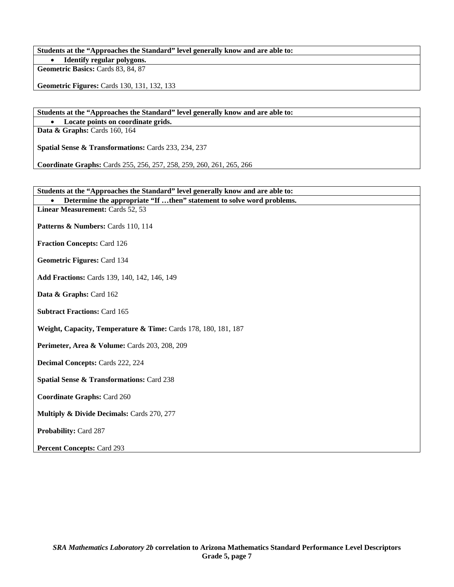**Students at the "Approaches the Standard" level generally know and are able to:**  • **Identify regular polygons.** 

**Geometric Basics:** Cards 83, 84, 87

**Geometric Figures:** Cards 130, 131, 132, 133

**Students at the "Approaches the Standard" level generally know and are able to:** 

• **Locate points on coordinate grids. Data & Graphs: Cards 160, 164** 

**Spatial Sense & Transformations:** Cards 233, 234, 237

**Coordinate Graphs:** Cards 255, 256, 257, 258, 259, 260, 261, 265, 266

| Students at the "Approaches the Standard" level generally know and are able to: |
|---------------------------------------------------------------------------------|
| Determine the appropriate "If then" statement to solve word problems.           |
| Linear Measurement: Cards 52, 53                                                |
| Patterns & Numbers: Cards 110, 114                                              |
| <b>Fraction Concepts: Card 126</b>                                              |
| Geometric Figures: Card 134                                                     |
| Add Fractions: Cards 139, 140, 142, 146, 149                                    |
| Data & Graphs: Card 162                                                         |
| <b>Subtract Fractions: Card 165</b>                                             |
| Weight, Capacity, Temperature & Time: Cards 178, 180, 181, 187                  |
| Perimeter, Area & Volume: Cards 203, 208, 209                                   |
| <b>Decimal Concepts: Cards 222, 224</b>                                         |
| <b>Spatial Sense &amp; Transformations: Card 238</b>                            |
| <b>Coordinate Graphs: Card 260</b>                                              |
| Multiply & Divide Decimals: Cards 270, 277                                      |
| Probability: Card 287                                                           |
| <b>Percent Concepts: Card 293</b>                                               |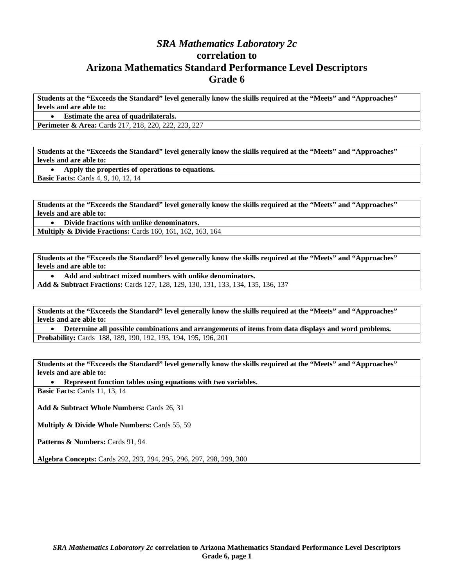### *SRA Mathematics Laboratory 2c*  **correlation to Arizona Mathematics Standard Performance Level Descriptors Grade 6**

**Students at the "Exceeds the Standard" level generally know the skills required at the "Meets" and "Approaches" levels and are able to:** 

• **Estimate the area of quadrilaterals.** 

**Perimeter & Area:** Cards 217, 218, 220, 222, 223, 227

**Students at the "Exceeds the Standard" level generally know the skills required at the "Meets" and "Approaches" levels and are able to:** 

• **Apply the properties of operations to equations. Basic Facts: Cards 4, 9, 10, 12, 14** 

**Students at the "Exceeds the Standard" level generally know the skills required at the "Meets" and "Approaches" levels and are able to:** 

• **Divide fractions with unlike denominators.** 

**Multiply & Divide Fractions:** Cards 160, 161, 162, 163, 164

**Students at the "Exceeds the Standard" level generally know the skills required at the "Meets" and "Approaches" levels and are able to:** 

• **Add and subtract mixed numbers with unlike denominators.** 

**Add & Subtract Fractions:** Cards 127, 128, 129, 130, 131, 133, 134, 135, 136, 137

**Students at the "Exceeds the Standard" level generally know the skills required at the "Meets" and "Approaches" levels and are able to:** 

• **Determine all possible combinations and arrangements of items from data displays and word problems. Probability:** Cards 188, 189, 190, 192, 193, 194, 195, 196, 201

**Students at the "Exceeds the Standard" level generally know the skills required at the "Meets" and "Approaches" levels and are able to:** 

• **Represent function tables using equations with two variables.** 

**Basic Facts: Cards 11, 13, 14** 

**Add & Subtract Whole Numbers:** Cards 26, 31

**Multiply & Divide Whole Numbers:** Cards 55, 59

Patterns & Numbers: Cards 91, 94

**Algebra Concepts:** Cards 292, 293, 294, 295, 296, 297, 298, 299, 300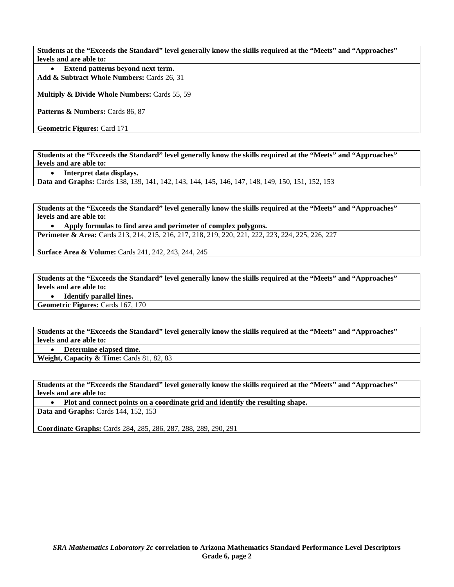• **Extend patterns beyond next term.** 

**Add & Subtract Whole Numbers:** Cards 26, 31

**Multiply & Divide Whole Numbers:** Cards 55, 59

Patterns & Numbers: Cards 86, 87

**Geometric Figures:** Card 171

**Students at the "Exceeds the Standard" level generally know the skills required at the "Meets" and "Approaches" levels and are able to:** 

• **Interpret data displays.** 

**Data and Graphs:** Cards 138, 139, 141, 142, 143, 144, 145, 146, 147, 148, 149, 150, 151, 152, 153

**Students at the "Exceeds the Standard" level generally know the skills required at the "Meets" and "Approaches" levels and are able to:** 

• **Apply formulas to find area and perimeter of complex polygons. Perimeter & Area:** Cards 213, 214, 215, 216, 217, 218, 219, 220, 221, 222, 223, 224, 225, 226, 227

**Surface Area & Volume:** Cards 241, 242, 243, 244, 245

**Students at the "Exceeds the Standard" level generally know the skills required at the "Meets" and "Approaches" levels and are able to:** 

• **Identify parallel lines.** 

**Geometric Figures:** Cards 167, 170

**Students at the "Exceeds the Standard" level generally know the skills required at the "Meets" and "Approaches" levels and are able to:** 

• **Determine elapsed time.** 

Weight, Capacity & Time: Cards 81, 82, 83

**Students at the "Exceeds the Standard" level generally know the skills required at the "Meets" and "Approaches" levels and are able to:** 

• **Plot and connect points on a coordinate grid and identify the resulting shape. Data and Graphs: Cards 144, 152, 153** 

**Coordinate Graphs:** Cards 284, 285, 286, 287, 288, 289, 290, 291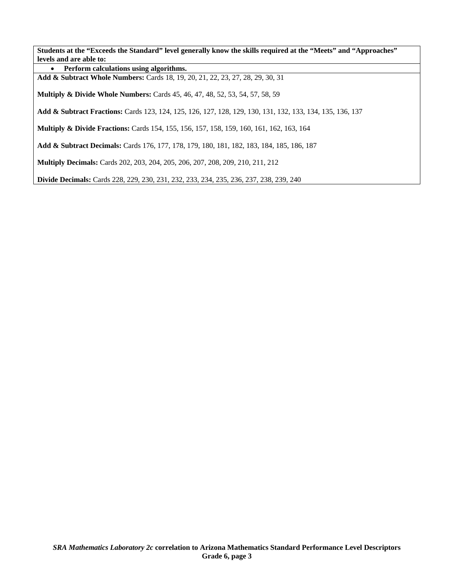• **Perform calculations using algorithms.** 

**Add & Subtract Whole Numbers:** Cards 18, 19, 20, 21, 22, 23, 27, 28, 29, 30, 31

**Multiply & Divide Whole Numbers:** Cards 45, 46, 47, 48, 52, 53, 54, 57, 58, 59

**Add & Subtract Fractions:** Cards 123, 124, 125, 126, 127, 128, 129, 130, 131, 132, 133, 134, 135, 136, 137

**Multiply & Divide Fractions:** Cards 154, 155, 156, 157, 158, 159, 160, 161, 162, 163, 164

**Add & Subtract Decimals:** Cards 176, 177, 178, 179, 180, 181, 182, 183, 184, 185, 186, 187

**Multiply Decimals:** Cards 202, 203, 204, 205, 206, 207, 208, 209, 210, 211, 212

**Divide Decimals:** Cards 228, 229, 230, 231, 232, 233, 234, 235, 236, 237, 238, 239, 240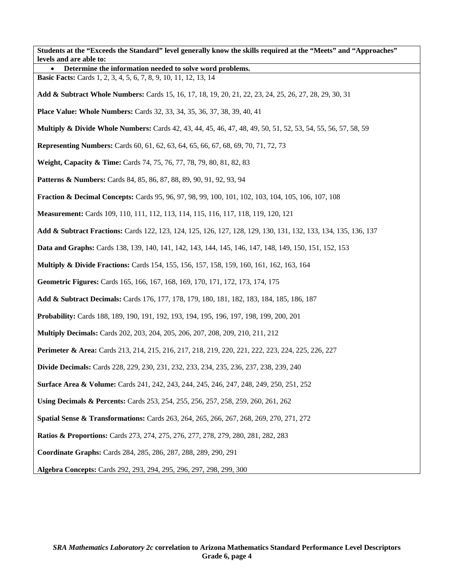| Students at the "Exceeds the Standard" level generally know the skills required at the "Meets" and "Approaches"<br>levels and are able to: |
|--------------------------------------------------------------------------------------------------------------------------------------------|
| Determine the information needed to solve word problems.                                                                                   |
| <b>Basic Facts:</b> Cards 1, 2, 3, 4, 5, 6, 7, 8, 9, 10, 11, 12, 13, 14                                                                    |
| Add & Subtract Whole Numbers: Cards 15, 16, 17, 18, 19, 20, 21, 22, 23, 24, 25, 26, 27, 28, 29, 30, 31                                     |
| <b>Place Value: Whole Numbers:</b> Cards 32, 33, 34, 35, 36, 37, 38, 39, 40, 41                                                            |
| <b>Multiply &amp; Divide Whole Numbers:</b> Cards 42, 43, 44, 45, 46, 47, 48, 49, 50, 51, 52, 53, 54, 55, 56, 57, 58, 59                   |
| <b>Representing Numbers:</b> Cards 60, 61, 62, 63, 64, 65, 66, 67, 68, 69, 70, 71, 72, 73                                                  |
| Weight, Capacity & Time: Cards 74, 75, 76, 77, 78, 79, 80, 81, 82, 83                                                                      |
| <b>Patterns &amp; Numbers:</b> Cards 84, 85, 86, 87, 88, 89, 90, 91, 92, 93, 94                                                            |
| <b>Fraction &amp; Decimal Concepts:</b> Cards 95, 96, 97, 98, 99, 100, 101, 102, 103, 104, 105, 106, 107, 108                              |
| Measurement: Cards 109, 110, 111, 112, 113, 114, 115, 116, 117, 118, 119, 120, 121                                                         |
| Add & Subtract Fractions: Cards 122, 123, 124, 125, 126, 127, 128, 129, 130, 131, 132, 133, 134, 135, 136, 137                             |
| Data and Graphs: Cards 138, 139, 140, 141, 142, 143, 144, 145, 146, 147, 148, 149, 150, 151, 152, 153                                      |
| <b>Multiply &amp; Divide Fractions:</b> Cards 154, 155, 156, 157, 158, 159, 160, 161, 162, 163, 164                                        |
| Geometric Figures: Cards 165, 166, 167, 168, 169, 170, 171, 172, 173, 174, 175                                                             |
| Add & Subtract Decimals: Cards 176, 177, 178, 179, 180, 181, 182, 183, 184, 185, 186, 187                                                  |
| Probability: Cards 188, 189, 190, 191, 192, 193, 194, 195, 196, 197, 198, 199, 200, 201                                                    |
| <b>Multiply Decimals:</b> Cards 202, 203, 204, 205, 206, 207, 208, 209, 210, 211, 212                                                      |
| Perimeter & Area: Cards 213, 214, 215, 216, 217, 218, 219, 220, 221, 222, 223, 224, 225, 226, 227                                          |
| <b>Divide Decimals:</b> Cards 228, 229, 230, 231, 232, 233, 234, 235, 236, 237, 238, 239, 240                                              |
| <b>Surface Area &amp; Volume:</b> Cards 241, 242, 243, 244, 245, 246, 247, 248, 249, 250, 251, 252                                         |
| Using Decimals & Percents: Cards 253, 254, 255, 256, 257, 258, 259, 260, 261, 262                                                          |
| Spatial Sense & Transformations: Cards 263, 264, 265, 266, 267, 268, 269, 270, 271, 272                                                    |
| <b>Ratios &amp; Proportions:</b> Cards 273, 274, 275, 276, 277, 278, 279, 280, 281, 282, 283                                               |
| Coordinate Graphs: Cards 284, 285, 286, 287, 288, 289, 290, 291                                                                            |
| Algebra Concepts: Cards 292, 293, 294, 295, 296, 297, 298, 299, 300                                                                        |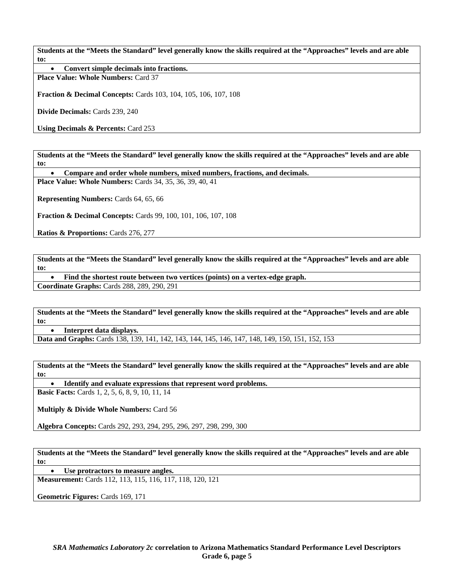• **Convert simple decimals into fractions.** 

**Place Value: Whole Numbers:** Card 37

**Fraction & Decimal Concepts:** Cards 103, 104, 105, 106, 107, 108

**Divide Decimals:** Cards 239, 240

**Using Decimals & Percents:** Card 253

**Students at the "Meets the Standard" level generally know the skills required at the "Approaches" levels and are able to:** 

• **Compare and order whole numbers, mixed numbers, fractions, and decimals.** 

**Place Value: Whole Numbers:** Cards 34, 35, 36, 39, 40, 41

**Representing Numbers:** Cards 64, 65, 66

**Fraction & Decimal Concepts:** Cards 99, 100, 101, 106, 107, 108

**Ratios & Proportions:** Cards 276, 277

**Students at the "Meets the Standard" level generally know the skills required at the "Approaches" levels and are able to:** 

• **Find the shortest route between two vertices (points) on a vertex-edge graph.** 

**Coordinate Graphs:** Cards 288, 289, 290, 291

**Students at the "Meets the Standard" level generally know the skills required at the "Approaches" levels and are able to:** 

• **Interpret data displays.** 

**Data and Graphs:** Cards 138, 139, 141, 142, 143, 144, 145, 146, 147, 148, 149, 150, 151, 152, 153

**Students at the "Meets the Standard" level generally know the skills required at the "Approaches" levels and are able to:** 

• **Identify and evaluate expressions that represent word problems.** 

**Basic Facts:** Cards 1, 2, 5, 6, 8, 9, 10, 11, 14

**Multiply & Divide Whole Numbers:** Card 56

**Algebra Concepts:** Cards 292, 293, 294, 295, 296, 297, 298, 299, 300

**Students at the "Meets the Standard" level generally know the skills required at the "Approaches" levels and are able to:** 

• **Use protractors to measure angles.** 

**Measurement:** Cards 112, 113, 115, 116, 117, 118, 120, 121

**Geometric Figures:** Cards 169, 171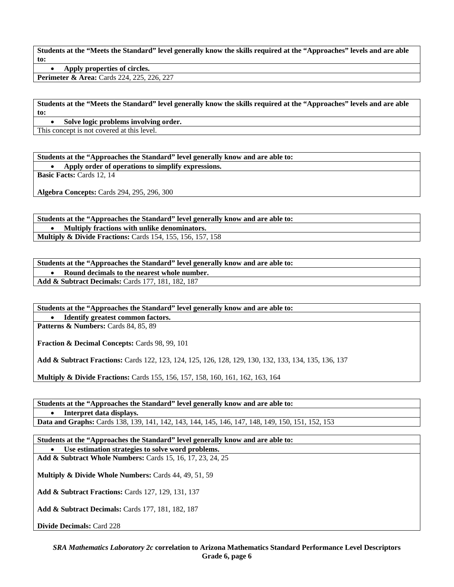• **Apply properties of circles.** 

**Perimeter & Area:** Cards 224, 225, 226, 227

**Students at the "Meets the Standard" level generally know the skills required at the "Approaches" levels and are able to:** 

• **Solve logic problems involving order.** 

This concept is not covered at this level.

**Students at the "Approaches the Standard" level generally know and are able to:**  • **Apply order of operations to simplify expressions.** 

**Basic Facts:** Cards 12, 14

**Algebra Concepts:** Cards 294, 295, 296, 300

**Students at the "Approaches the Standard" level generally know and are able to:**  • **Multiply fractions with unlike denominators. Multiply & Divide Fractions:** Cards 154, 155, 156, 157, 158

# **Students at the "Approaches the Standard" level generally know and are able to:**

• **Round decimals to the nearest whole number.** 

**Add & Subtract Decimals:** Cards 177, 181, 182, 187

**Students at the "Approaches the Standard" level generally know and are able to:** 

• **Identify greatest common factors. Patterns & Numbers:** Cards 84, 85, 89

**Fraction & Decimal Concepts:** Cards 98, 99, 101

**Add & Subtract Fractions:** Cards 122, 123, 124, 125, 126, 128, 129, 130, 132, 133, 134, 135, 136, 137

**Multiply & Divide Fractions:** Cards 155, 156, 157, 158, 160, 161, 162, 163, 164

**Students at the "Approaches the Standard" level generally know and are able to:**  • **Interpret data displays. Data and Graphs:** Cards 138, 139, 141, 142, 143, 144, 145, 146, 147, 148, 149, 150, 151, 152, 153

**Students at the "Approaches the Standard" level generally know and are able to:**  Use estimation strategies to solve word problems.

**Add & Subtract Whole Numbers:** Cards 15, 16, 17, 23, 24, 25

**Multiply & Divide Whole Numbers:** Cards 44, 49, 51, 59

**Add & Subtract Fractions:** Cards 127, 129, 131, 137

**Add & Subtract Decimals:** Cards 177, 181, 182, 187

**Divide Decimals:** Card 228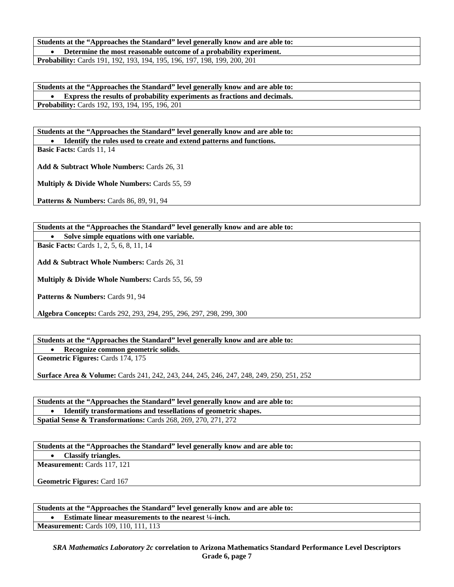#### **Students at the "Approaches the Standard" level generally know and are able to:**  • **Determine the most reasonable outcome of a probability experiment.**

**Probability:** Cards 191, 192, 193, 194, 195, 196, 197, 198, 199, 200, 201

**Students at the "Approaches the Standard" level generally know and are able to:**  • **Express the results of probability experiments as fractions and decimals. Probability:** Cards 192, 193, 194, 195, 196, 201

**Students at the "Approaches the Standard" level generally know and are able to:**  • **Identify the rules used to create and extend patterns and functions.** 

**Basic Facts:** Cards 11, 14

**Add & Subtract Whole Numbers:** Cards 26, 31

**Multiply & Divide Whole Numbers:** Cards 55, 59

**Patterns & Numbers:** Cards 86, 89, 91, 94

**Students at the "Approaches the Standard" level generally know and are able to:** 

• **Solve simple equations with one variable.** 

**Basic Facts:** Cards 1, 2, 5, 6, 8, 11, 14

**Add & Subtract Whole Numbers:** Cards 26, 31

**Multiply & Divide Whole Numbers:** Cards 55, 56, 59

Patterns & Numbers: Cards 91, 94

**Algebra Concepts:** Cards 292, 293, 294, 295, 296, 297, 298, 299, 300

**Students at the "Approaches the Standard" level generally know and are able to:** 

• **Recognize common geometric solids. Geometric Figures:** Cards 174, 175

**Surface Area & Volume:** Cards 241, 242, 243, 244, 245, 246, 247, 248, 249, 250, 251, 252

**Students at the "Approaches the Standard" level generally know and are able to:**  • **Identify transformations and tessellations of geometric shapes. Spatial Sense & Transformations:** Cards 268, 269, 270, 271, 272

**Students at the "Approaches the Standard" level generally know and are able to:** 

• **Classify triangles.** 

**Measurement:** Cards 117, 121

**Geometric Figures:** Card 167

**Students at the "Approaches the Standard" level generally know and are able to:** 

• **Estimate linear measurements to the nearest ¼-inch.** 

**Measurement:** Cards 109, 110, 111, 113